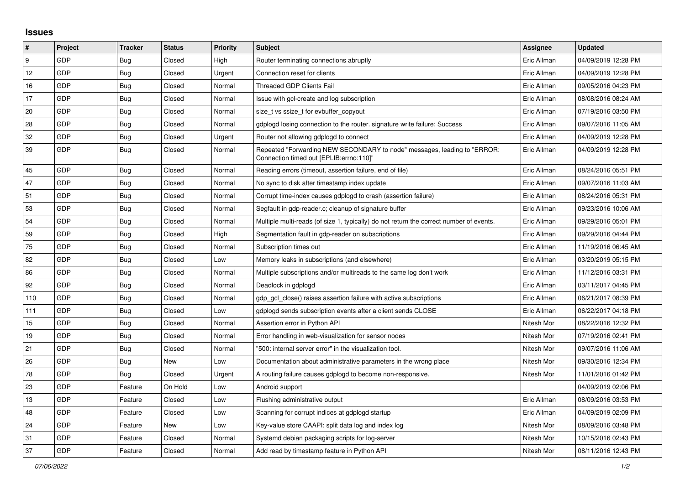## **Issues**

| $\vert$ # | Project    | <b>Tracker</b> | <b>Status</b> | <b>Priority</b> | <b>Subject</b>                                                                                                      | <b>Assignee</b> | <b>Updated</b>      |
|-----------|------------|----------------|---------------|-----------------|---------------------------------------------------------------------------------------------------------------------|-----------------|---------------------|
| 9         | GDP        | Bug            | Closed        | High            | Router terminating connections abruptly                                                                             | Eric Allman     | 04/09/2019 12:28 PM |
| 12        | GDP        | <b>Bug</b>     | Closed        | Urgent          | Connection reset for clients                                                                                        | Eric Allman     | 04/09/2019 12:28 PM |
| 16        | GDP        | <b>Bug</b>     | Closed        | Normal          | <b>Threaded GDP Clients Fail</b>                                                                                    | Eric Allman     | 09/05/2016 04:23 PM |
| 17        | GDP        | Bug            | Closed        | Normal          | Issue with gcl-create and log subscription                                                                          | Eric Allman     | 08/08/2016 08:24 AM |
| 20        | GDP        | Bug            | Closed        | Normal          | size t vs ssize t for evbuffer copyout                                                                              | Eric Allman     | 07/19/2016 03:50 PM |
| 28        | GDP        | <b>Bug</b>     | Closed        | Normal          | gdplogd losing connection to the router. signature write failure: Success                                           | Eric Allman     | 09/07/2016 11:05 AM |
| 32        | <b>GDP</b> | <b>Bug</b>     | Closed        | Urgent          | Router not allowing gdplogd to connect                                                                              | Eric Allman     | 04/09/2019 12:28 PM |
| 39        | GDP        | Bug            | Closed        | Normal          | Repeated "Forwarding NEW SECONDARY to node" messages, leading to "ERROR:<br>Connection timed out [EPLIB:errno:110]" | Eric Allman     | 04/09/2019 12:28 PM |
| 45        | <b>GDP</b> | Bug            | Closed        | Normal          | Reading errors (timeout, assertion failure, end of file)                                                            | Eric Allman     | 08/24/2016 05:51 PM |
| 47        | GDP        | Bug            | Closed        | Normal          | No sync to disk after timestamp index update                                                                        | Eric Allman     | 09/07/2016 11:03 AM |
| 51        | GDP        | Bug            | Closed        | Normal          | Corrupt time-index causes gdplogd to crash (assertion failure)                                                      | Eric Allman     | 08/24/2016 05:31 PM |
| 53        | <b>GDP</b> | Bug            | Closed        | Normal          | Segfault in gdp-reader.c; cleanup of signature buffer                                                               | Eric Allman     | 09/23/2016 10:06 AM |
| 54        | GDP        | <b>Bug</b>     | Closed        | Normal          | Multiple multi-reads (of size 1, typically) do not return the correct number of events.                             | Eric Allman     | 09/29/2016 05:01 PM |
| 59        | GDP        | <b>Bug</b>     | Closed        | High            | Segmentation fault in gdp-reader on subscriptions                                                                   | Eric Allman     | 09/29/2016 04:44 PM |
| 75        | GDP        | <b>Bug</b>     | Closed        | Normal          | Subscription times out                                                                                              | Eric Allman     | 11/19/2016 06:45 AM |
| 82        | GDP        | Bug            | Closed        | Low             | Memory leaks in subscriptions (and elsewhere)                                                                       | Eric Allman     | 03/20/2019 05:15 PM |
| 86        | GDP        | Bug            | Closed        | Normal          | Multiple subscriptions and/or multireads to the same log don't work                                                 | Eric Allman     | 11/12/2016 03:31 PM |
| 92        | GDP        | Bug            | Closed        | Normal          | Deadlock in gdplogd                                                                                                 | Eric Allman     | 03/11/2017 04:45 PM |
| 110       | <b>GDP</b> | <b>Bug</b>     | Closed        | Normal          | gdp gcl close() raises assertion failure with active subscriptions                                                  | Eric Allman     | 06/21/2017 08:39 PM |
| 111       | GDP        | Bug            | Closed        | Low             | gdplogd sends subscription events after a client sends CLOSE                                                        | Eric Allman     | 06/22/2017 04:18 PM |
| 15        | GDP        | Bug            | Closed        | Normal          | Assertion error in Python API                                                                                       | Nitesh Mor      | 08/22/2016 12:32 PM |
| 19        | GDP        | <b>Bug</b>     | Closed        | Normal          | Error handling in web-visualization for sensor nodes                                                                | Nitesh Mor      | 07/19/2016 02:41 PM |
| 21        | GDP        | <b>Bug</b>     | Closed        | Normal          | "500: internal server error" in the visualization tool.                                                             | Nitesh Mor      | 09/07/2016 11:06 AM |
| 26        | GDP        | <b>Bug</b>     | <b>New</b>    | Low             | Documentation about administrative parameters in the wrong place                                                    | Nitesh Mor      | 09/30/2016 12:34 PM |
| 78        | GDP        | Bug            | Closed        | Urgent          | A routing failure causes gdplogd to become non-responsive.                                                          | Nitesh Mor      | 11/01/2016 01:42 PM |
| 23        | <b>GDP</b> | Feature        | On Hold       | Low             | Android support                                                                                                     |                 | 04/09/2019 02:06 PM |
| 13        | GDP        | Feature        | Closed        | Low             | Flushing administrative output                                                                                      | Eric Allman     | 08/09/2016 03:53 PM |
| 48        | GDP        | Feature        | Closed        | Low             | Scanning for corrupt indices at gdplogd startup                                                                     | Eric Allman     | 04/09/2019 02:09 PM |
| 24        | <b>GDP</b> | Feature        | New           | Low             | Key-value store CAAPI: split data log and index log                                                                 | Nitesh Mor      | 08/09/2016 03:48 PM |
| 31        | GDP        | Feature        | Closed        | Normal          | Systemd debian packaging scripts for log-server                                                                     | Nitesh Mor      | 10/15/2016 02:43 PM |
| 37        | GDP        | Feature        | Closed        | Normal          | Add read by timestamp feature in Python API                                                                         | Nitesh Mor      | 08/11/2016 12:43 PM |